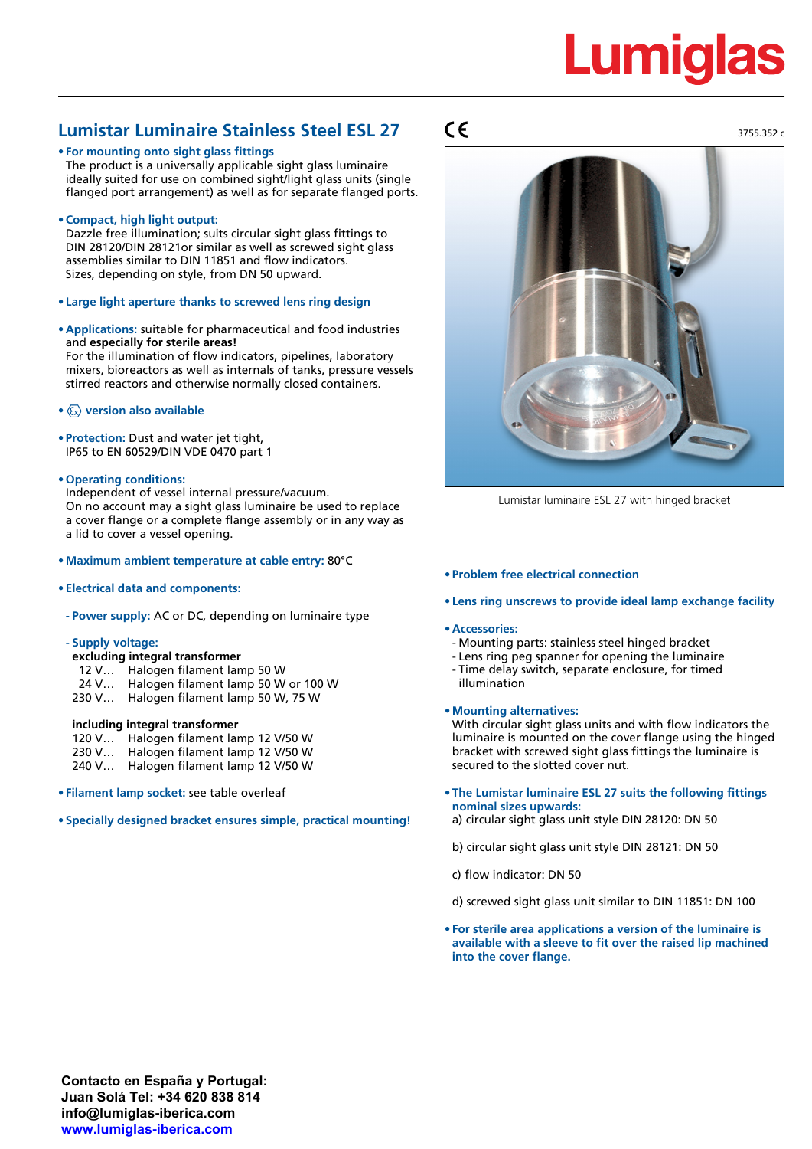# **Lumiglas**

3755.352 c

# **Lumistar Luminaire Stainless Steel ESL 27**

# **• For mounting onto sight glass fittings**

The product is a universally applicable sight glass luminaire ideally suited for use on combined sight/light glass units (single flanged port arrangement) as well as for separate flanged ports.

**• Compact, high light output:**

Dazzle free illumination; suits circular sight glass fittings to DIN 28120/DIN 28121or similar as well as screwed sight glass assemblies similar to DIN 11851 and flow indicators. Sizes, depending on style, from DN 50 upward.

- **• Large light aperture thanks to screwed lens ring design**
- **• Applications:** suitable for pharmaceutical and food industries and **especially for sterile areas!** For the illumination of flow indicators, pipelines, laboratory mixers, bioreactors as well as internals of tanks, pressure vessels stirred reactors and otherwise normally closed containers.
- **• version also available**
- **• Protection:** Dust and water jet tight, IP65 to EN 60529/DIN VDE 0470 part 1
- **• Operating conditions:**

Independent of vessel internal pressure/vacuum. On no account may a sight glass luminaire be used to replace a cover flange or a complete flange assembly or in any way as a lid to cover a vessel opening.

- **• Maximum ambient temperature at cable entry:** 80°C
- **• Electrical data and components:**
- **- Power supply:** AC or DC, depending on luminaire type
- **- Supply voltage:**
- **excluding integral transformer**
- 12 V… Halogen filament lamp 50 W
- 24 V… Halogen filament lamp 50 W or 100 W
- 230 V… Halogen filament lamp 50 W, 75 W

#### **including integral transformer**

- 120 V… Halogen filament lamp 12 V/50 W
- 230 V… Halogen filament lamp 12 V/50 W
- 240 V… Halogen filament lamp 12 V/50 W
- **• Filament lamp socket:** see table overleaf

**• Specially designed bracket ensures simple, practical mounting!**

# $\epsilon$



Lumistar luminaire ESL 27 with hinged bracket

#### **• Problem free electrical connection**

**• Lens ring unscrews to provide ideal lamp exchange facility**

#### **• Accessories:**

- Mounting parts: stainless steel hinged bracket
- Lens ring peg spanner for opening the luminaire
- Time delay switch, separate enclosure, for timed illumination
- **• Mounting alternatives:**

With circular sight glass units and with flow indicators the luminaire is mounted on the cover flange using the hinged bracket with screwed sight glass fittings the luminaire is secured to the slotted cover nut.

**• The Lumistar luminaire ESL 27 suits the following fittings nominal sizes upwards:**

a) circular sight glass unit style DIN 28120: DN 50

b) circular sight glass unit style DIN 28121: DN 50

c) flow indicator: DN 50

d) screwed sight glass unit similar to DIN 11851: DN 100

**• For sterile area applications a version of the luminaire is available with a sleeve to fit over the raised lip machined into the cover flange.**